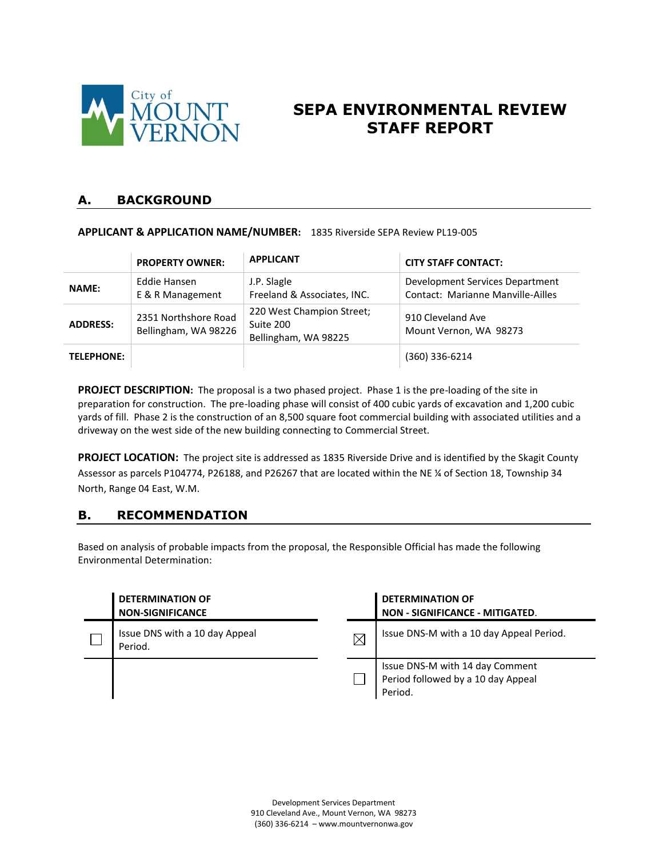

# **SEPA ENVIRONMENTAL REVIEW STAFF REPORT**

#### **A. BACKGROUND**

**APPLICANT & APPLICATION NAME/NUMBER:** 1835 Riverside SEPA Review PL19-005

|                   | <b>PROPERTY OWNER:</b>                       | <b>APPLICANT</b>                                               | <b>CITY STAFF CONTACT:</b>                                                  |
|-------------------|----------------------------------------------|----------------------------------------------------------------|-----------------------------------------------------------------------------|
| <b>NAME:</b>      | Eddie Hansen<br>E & R Management             | J.P. Slagle<br>Freeland & Associates, INC.                     | Development Services Department<br><b>Contact: Marianne Manville-Ailles</b> |
| <b>ADDRESS:</b>   | 2351 Northshore Road<br>Bellingham, WA 98226 | 220 West Champion Street;<br>Suite 200<br>Bellingham, WA 98225 | 910 Cleveland Ave<br>Mount Vernon, WA 98273                                 |
| <b>TELEPHONE:</b> |                                              |                                                                | (360) 336-6214                                                              |

**PROJECT DESCRIPTION:** The proposal is a two phased project. Phase 1 is the pre-loading of the site in preparation for construction. The pre-loading phase will consist of 400 cubic yards of excavation and 1,200 cubic yards of fill. Phase 2 is the construction of an 8,500 square foot commercial building with associated utilities and a driveway on the west side of the new building connecting to Commercial Street.

**PROJECT LOCATION:** The project site is addressed as 1835 Riverside Drive and is identified by the Skagit County Assessor as parcels P104774, P26188, and P26267 that are located within the NE ¼ of Section 18, Township 34 North, Range 04 East, W.M.

### **B. RECOMMENDATION**

Based on analysis of probable impacts from the proposal, the Responsible Official has made the following Environmental Determination:

| <b>DETERMINATION OF</b><br><b>NON-SIGNIFICANCE</b> |          | <b>DETERMINATION OF</b><br>NON - SIGNIFICANCE - MITIGATED.                       |
|----------------------------------------------------|----------|----------------------------------------------------------------------------------|
| Issue DNS with a 10 day Appeal<br>Period.          | $\times$ | Issue DNS-M with a 10 day Appeal Period.                                         |
|                                                    |          | Issue DNS-M with 14 day Comment<br>Period followed by a 10 day Appeal<br>Period. |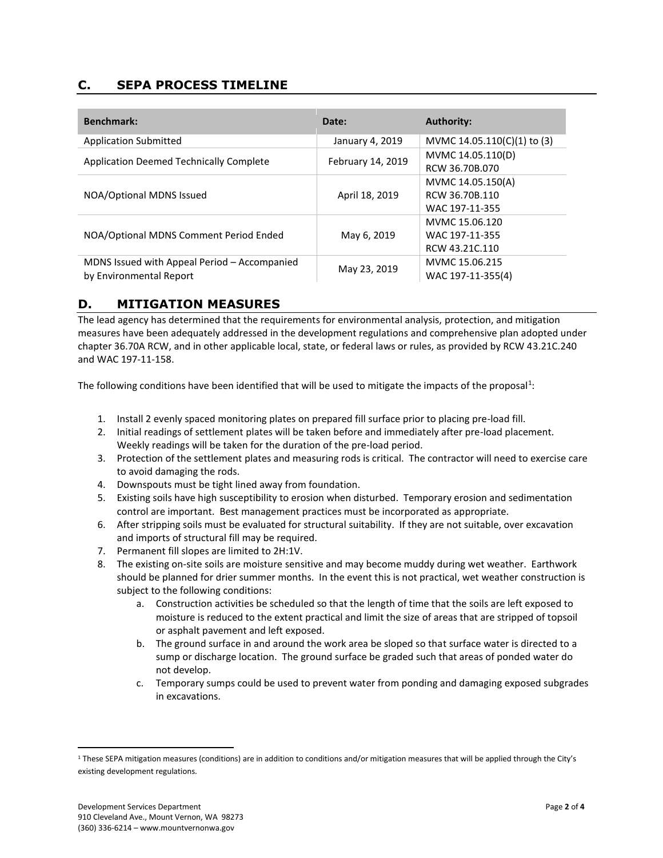### **C. SEPA PROCESS TIMELINE**

| <b>Benchmark:</b>                              | Date:             | <b>Authority:</b>           |
|------------------------------------------------|-------------------|-----------------------------|
| <b>Application Submitted</b>                   | January 4, 2019   | MVMC 14.05.110(C)(1) to (3) |
| <b>Application Deemed Technically Complete</b> | February 14, 2019 | MVMC 14.05.110(D)           |
|                                                |                   | RCW 36.70B.070              |
|                                                |                   | MVMC 14.05.150(A)           |
| NOA/Optional MDNS Issued                       | April 18, 2019    | RCW 36.70B.110              |
|                                                |                   | WAC 197-11-355              |
|                                                |                   | MVMC 15.06.120              |
| NOA/Optional MDNS Comment Period Ended         | May 6, 2019       | WAC 197-11-355              |
|                                                |                   | RCW 43.21C.110              |
| MDNS Issued with Appeal Period - Accompanied   | May 23, 2019      | MVMC 15.06.215              |
| by Environmental Report                        |                   | WAC 197-11-355(4)           |

# **D. MITIGATION MEASURES**

The lead agency has determined that the requirements for environmental analysis, protection, and mitigation measures have been adequately addressed in the development regulations and comprehensive plan adopted under chapter 36.70A RCW, and in other applicable local, state, or federal laws or rules, as provided by RCW 43.21C.240 and WAC 197-11-158.

The following conditions have been identified that will be used to mitigate the impacts of the proposal<sup>1</sup>:

- 1. Install 2 evenly spaced monitoring plates on prepared fill surface prior to placing pre-load fill.
- 2. Initial readings of settlement plates will be taken before and immediately after pre-load placement. Weekly readings will be taken for the duration of the pre-load period.
- 3. Protection of the settlement plates and measuring rods is critical. The contractor will need to exercise care to avoid damaging the rods.
- 4. Downspouts must be tight lined away from foundation.
- 5. Existing soils have high susceptibility to erosion when disturbed. Temporary erosion and sedimentation control are important. Best management practices must be incorporated as appropriate.
- 6. After stripping soils must be evaluated for structural suitability. If they are not suitable, over excavation and imports of structural fill may be required.
- 7. Permanent fill slopes are limited to 2H:1V.
- 8. The existing on-site soils are moisture sensitive and may become muddy during wet weather. Earthwork should be planned for drier summer months. In the event this is not practical, wet weather construction is subject to the following conditions:
	- a. Construction activities be scheduled so that the length of time that the soils are left exposed to moisture is reduced to the extent practical and limit the size of areas that are stripped of topsoil or asphalt pavement and left exposed.
	- b. The ground surface in and around the work area be sloped so that surface water is directed to a sump or discharge location. The ground surface be graded such that areas of ponded water do not develop.
	- c. Temporary sumps could be used to prevent water from ponding and damaging exposed subgrades in excavations.

 $\overline{a}$ 

<sup>1</sup> These SEPA mitigation measures (conditions) are in addition to conditions and/or mitigation measures that will be applied through the City's existing development regulations.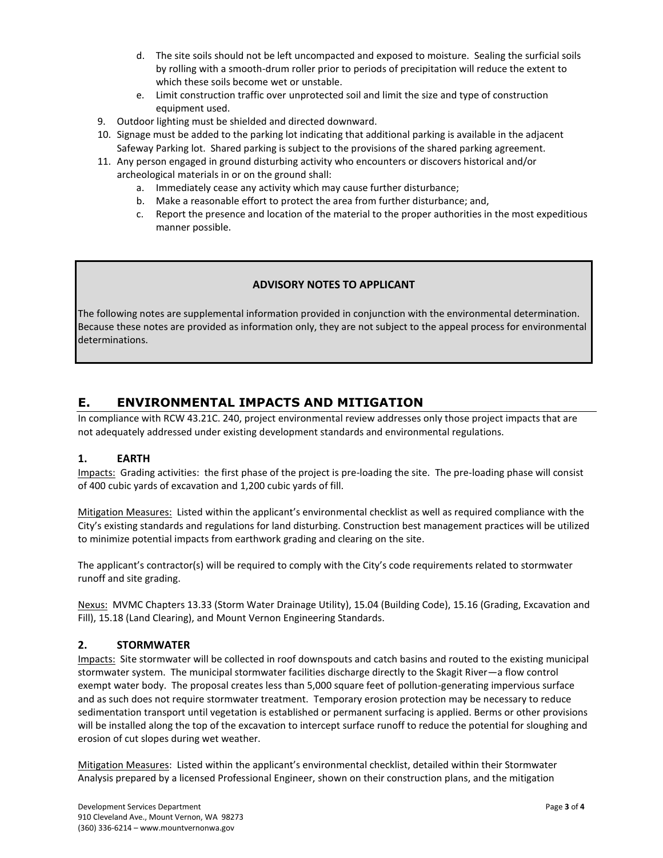- d. The site soils should not be left uncompacted and exposed to moisture. Sealing the surficial soils by rolling with a smooth-drum roller prior to periods of precipitation will reduce the extent to which these soils become wet or unstable.
- e. Limit construction traffic over unprotected soil and limit the size and type of construction equipment used.
- 9. Outdoor lighting must be shielded and directed downward.
- 10. Signage must be added to the parking lot indicating that additional parking is available in the adjacent Safeway Parking lot. Shared parking is subject to the provisions of the shared parking agreement.
- 11. Any person engaged in ground disturbing activity who encounters or discovers historical and/or archeological materials in or on the ground shall:
	- a. Immediately cease any activity which may cause further disturbance;
	- b. Make a reasonable effort to protect the area from further disturbance; and,
	- c. Report the presence and location of the material to the proper authorities in the most expeditious manner possible.

#### **ADVISORY NOTES TO APPLICANT**

The following notes are supplemental information provided in conjunction with the environmental determination. Because these notes are provided as information only, they are not subject to the appeal process for environmental determinations.

# **E. ENVIRONMENTAL IMPACTS AND MITIGATION**

In compliance with RCW 43.21C. 240, project environmental review addresses only those project impacts that are not adequately addressed under existing development standards and environmental regulations.

#### **1. EARTH**

Impacts: Grading activities: the first phase of the project is pre-loading the site. The pre-loading phase will consist of 400 cubic yards of excavation and 1,200 cubic yards of fill.

Mitigation Measures: Listed within the applicant's environmental checklist as well as required compliance with the City's existing standards and regulations for land disturbing. Construction best management practices will be utilized to minimize potential impacts from earthwork grading and clearing on the site.

The applicant's contractor(s) will be required to comply with the City's code requirements related to stormwater runoff and site grading.

Nexus: MVMC Chapters 13.33 (Storm Water Drainage Utility), 15.04 (Building Code), 15.16 (Grading, Excavation and Fill), 15.18 (Land Clearing), and Mount Vernon Engineering Standards.

#### **2. STORMWATER**

Impacts: Site stormwater will be collected in roof downspouts and catch basins and routed to the existing municipal stormwater system. The municipal stormwater facilities discharge directly to the Skagit River—a flow control exempt water body. The proposal creates less than 5,000 square feet of pollution-generating impervious surface and as such does not require stormwater treatment. Temporary erosion protection may be necessary to reduce sedimentation transport until vegetation is established or permanent surfacing is applied. Berms or other provisions will be installed along the top of the excavation to intercept surface runoff to reduce the potential for sloughing and erosion of cut slopes during wet weather.

Mitigation Measures: Listed within the applicant's environmental checklist, detailed within their Stormwater Analysis prepared by a licensed Professional Engineer, shown on their construction plans, and the mitigation